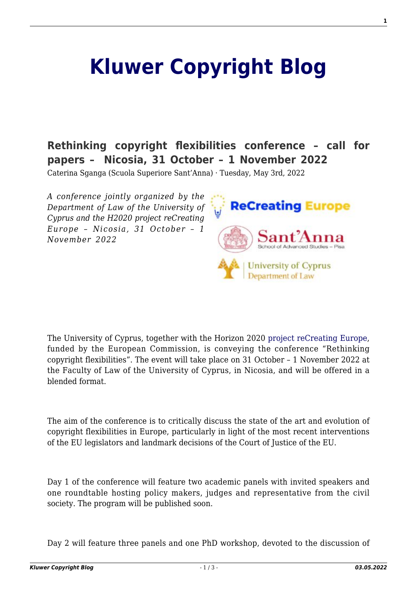## **[Kluwer Copyright Blog](http://copyrightblog.kluweriplaw.com/)**

## **[Rethinking copyright flexibilities conference – call for](http://copyrightblog.kluweriplaw.com/2022/05/03/rethinking-copyright-flexibilities-conference-call-for-papers-nicosia-31-october-1-november-2022/) [papers – Nicosia, 31 October – 1 November 2022](http://copyrightblog.kluweriplaw.com/2022/05/03/rethinking-copyright-flexibilities-conference-call-for-papers-nicosia-31-october-1-november-2022/)**

Caterina Sganga (Scuola Superiore Sant'Anna) · Tuesday, May 3rd, 2022

*A conference jointly organized by the Department of Law of the University of Cyprus and the H2020 project reCreating Europe – Nicosia, 31 October – 1 November 2022*



The University of Cyprus, together with the Horizon 2020 [project reCreating Europe](http://www.recreating.eu), funded by the European Commission, is conveying the conference "Rethinking copyright flexibilities". The event will take place on 31 October – 1 November 2022 at the Faculty of Law of the University of Cyprus, in Nicosia, and will be offered in a blended format.

The aim of the conference is to critically discuss the state of the art and evolution of copyright flexibilities in Europe, particularly in light of the most recent interventions of the EU legislators and landmark decisions of the Court of Justice of the EU.

Day 1 of the conference will feature two academic panels with invited speakers and one roundtable hosting policy makers, judges and representative from the civil society. The program will be published soon.

Day 2 will feature three panels and one PhD workshop, devoted to the discussion of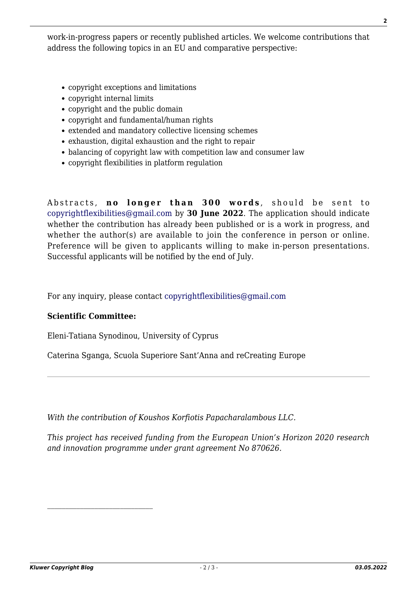work-in-progress papers or recently published articles. We welcome contributions that address the following topics in an EU and comparative perspective:

- copyright exceptions and limitations
- copyright internal limits
- copyright and the public domain
- copyright and fundamental/human rights
- extended and mandatory collective licensing schemes
- exhaustion, digital exhaustion and the right to repair
- balancing of copyright law with competition law and consumer law
- copyright flexibilities in platform regulation

Abstracts, **no longer than 300 words** , should be sent to [copyrightflexibilities@gmail.com](mailto:copyrightflexibilities@gmail.com) by **30 June 2022**. The application should indicate whether the contribution has already been published or is a work in progress, and whether the author(s) are available to join the conference in person or online. Preference will be given to applicants willing to make in-person presentations. Successful applicants will be notified by the end of July.

For any inquiry, please contact [copyrightflexibilities@gmail.com](mailto:copyrightflexibilities@gmail.com)

## **Scientific Committee:**

Eleni-Tatiana Synodinou, University of Cyprus

Caterina Sganga, Scuola Superiore Sant'Anna and reCreating Europe

*With the contribution of Koushos Korfiotis Papacharalambous LLC.*

*This project has received funding from the European Union's Horizon 2020 research and innovation programme under grant agreement No 870626.*